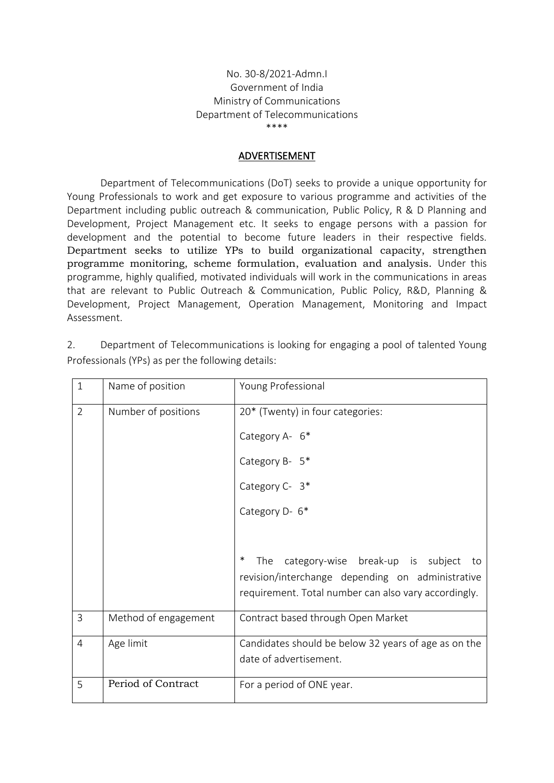## No. 30-8/2021-Admn.I Government of India Ministry of Communications Department of Telecommunications \*\*\*\*

## ADVERTISEMENT

Department of Telecommunications (DoT) seeks to provide a unique opportunity for Young Professionals to work and get exposure to various programme and activities of the Department including public outreach & communication, Public Policy, R & D Planning and Development, Project Management etc. It seeks to engage persons with a passion for development and the potential to become future leaders in their respective fields. Department seeks to utilize YPs to build organizational capacity, strengthen programme monitoring, scheme formulation, evaluation and analysis. Under this programme, highly qualified, motivated individuals will work in the communications in areas that are relevant to Public Outreach & Communication, Public Policy, R&D, Planning & Development, Project Management, Operation Management, Monitoring and Impact Assessment.

2. Department of Telecommunications is looking for engaging a pool of talented Young Professionals (YPs) as per the following details:

| $\mathbf{1}$   | Name of position     | Young Professional                                                                                                                                           |
|----------------|----------------------|--------------------------------------------------------------------------------------------------------------------------------------------------------------|
| $\overline{2}$ | Number of positions  | 20* (Twenty) in four categories:                                                                                                                             |
|                |                      | Category A- 6*                                                                                                                                               |
|                |                      | Category B- 5*                                                                                                                                               |
|                |                      | Category C- 3*                                                                                                                                               |
|                |                      | Category D- 6*                                                                                                                                               |
|                |                      |                                                                                                                                                              |
|                |                      | ∗<br>The category-wise break-up is subject<br>to<br>revision/interchange depending on administrative<br>requirement. Total number can also vary accordingly. |
| $\overline{3}$ | Method of engagement | Contract based through Open Market                                                                                                                           |
| $\overline{4}$ | Age limit            | Candidates should be below 32 years of age as on the<br>date of advertisement.                                                                               |
| 5              | Period of Contract   | For a period of ONE year.                                                                                                                                    |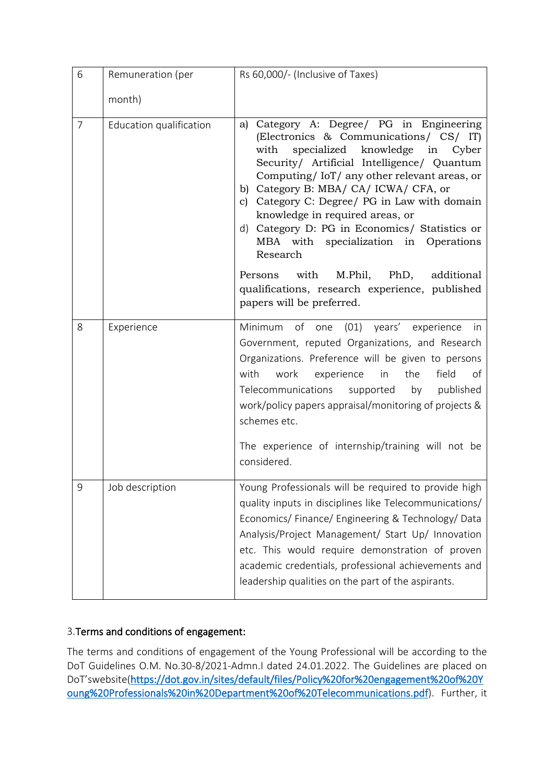| 6              | Remuneration (per       | Rs 60,000/- (Inclusive of Taxes)                                                                                                                                                                                                                                                                                                                                                                                                                           |
|----------------|-------------------------|------------------------------------------------------------------------------------------------------------------------------------------------------------------------------------------------------------------------------------------------------------------------------------------------------------------------------------------------------------------------------------------------------------------------------------------------------------|
|                | month)                  |                                                                                                                                                                                                                                                                                                                                                                                                                                                            |
| $\overline{7}$ | Education qualification | a) Category A: Degree/ PG in Engineering<br>(Electronics & Communications/ CS/ IT)<br>specialized knowledge in Cyber<br>with<br>Security/ Artificial Intelligence/ Quantum<br>Computing/IoT/any other relevant areas, or<br>b) Category B: MBA/ CA/ ICWA/ CFA, or<br>c) Category C: Degree/ PG in Law with domain<br>knowledge in required areas, or<br>d) Category D: PG in Economics/ Statistics or<br>MBA with specialization in Operations<br>Research |
|                |                         | Persons with<br>M.Phil, PhD, additional<br>qualifications, research experience, published<br>papers will be preferred.                                                                                                                                                                                                                                                                                                                                     |
| 8              | Experience              | Minimum of one (01) years' experience<br>- In<br>Government, reputed Organizations, and Research<br>Organizations. Preference will be given to persons<br>with<br>work<br>experience<br>in<br>the<br>field<br>of<br>Telecommunications supported<br>by<br>published<br>work/policy papers appraisal/monitoring of projects &<br>schemes etc.<br>The experience of internship/training will not be                                                          |
|                |                         | considered.                                                                                                                                                                                                                                                                                                                                                                                                                                                |
| 9              | Job description         | Young Professionals will be required to provide high<br>quality inputs in disciplines like Telecommunications/<br>Economics/Finance/Engineering & Technology/Data<br>Analysis/Project Management/ Start Up/ Innovation<br>etc. This would require demonstration of proven<br>academic credentials, professional achievements and<br>leadership qualities on the part of the aspirants.                                                                     |

## 3.Terms and conditions of engagement:

The terms and conditions of engagement of the Young Professional will be according to the DoT Guidelines O.M. No.30-8/2021-Admn.I dated 24.01.2022. The Guidelines are placed on DoT'swebsite[\(https://dot.gov.in/sites/default/files/Policy%20for%20engagement%20of%20Y](https://dot.gov.in/sites/default/files/Policy%20for%20engagement%20of%20Young%20Professionals%20in%20Department%20of%20Telecommunications.pdf) [oung%20Professionals%20in%20Department%20of%20Telecommunications.pdf\)](https://dot.gov.in/sites/default/files/Policy%20for%20engagement%20of%20Young%20Professionals%20in%20Department%20of%20Telecommunications.pdf). Further, it